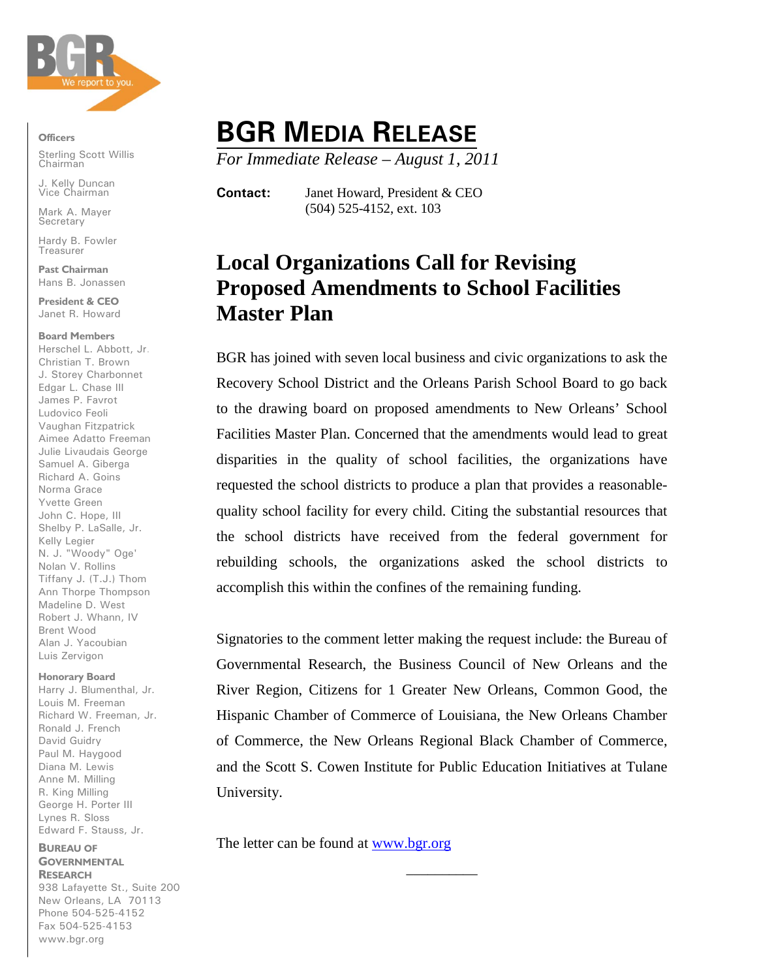

**Officers**

Sterling Scott Willis **Chairman** 

J. Kelly Duncan Vice Chairman

Mark A. Mayer **Secretary** 

Hardy B. Fowler **Treasurer** 

**Past Chairman** Hans B. Jonassen

**President & CEO** Janet R. Howard

### **Board Members**

Herschel L. Abbott, Jr. Christian T. Brown J. Storey Charbonnet Edgar L. Chase III James P. Favrot Ludovico Feoli Vaughan Fitzpatrick Aimee Adatto Freeman Julie Livaudais George Samuel A. Giberga Richard A. Goins Norma Grace Yvette Green John C. Hope, III Shelby P. LaSalle, Jr. Kelly Legier N. J. "Woody" Oge' Nolan V. Rollins Tiffany J. (T.J.) Thom Ann Thorpe Thompson Madeline D. West Robert J. Whann, IV Brent Wood Alan J. Yacoubian Luis Zervigon

#### **Honorary Board**

Harry J. Blumenthal, Jr. Louis M. Freeman Richard W. Freeman, Jr. Ronald J. French David Guidry Paul M. Haygood Diana M. Lewis Anne M. Milling R. King Milling George H. Porter III Lynes R. Sloss Edward F. Stauss, Jr.

## **BUREAU OF GOVERNMENTAL RESEARCH**

938 Lafayette St., Suite 200 New Orleans, LA 70113 Phone 504-525-4152 Fax 504-525-4153 www.bgr.org

# **BGR MEDIA RELEASE**

*For Immediate Release – August 1, 2011*

**Contact:** Janet Howard, President & CEO (504) 525-4152, ext. 103

# **Local Organizations Call for Revising Proposed Amendments to School Facilities Master Plan**

BGR has joined with seven local business and civic organizations to ask the Recovery School District and the Orleans Parish School Board to go back to the drawing board on proposed amendments to New Orleans' School Facilities Master Plan. Concerned that the amendments would lead to great disparities in the quality of school facilities, the organizations have requested the school districts to produce a plan that provides a reasonablequality school facility for every child. Citing the substantial resources that the school districts have received from the federal government for rebuilding schools, the organizations asked the school districts to accomplish this within the confines of the remaining funding.

Signatories to the comment letter making the request include: the Bureau of Governmental Research, the Business Council of New Orleans and the River Region, Citizens for 1 Greater New Orleans, Common Good, the Hispanic Chamber of Commerce of Louisiana, the New Orleans Chamber of Commerce, the New Orleans Regional Black Chamber of Commerce, and the Scott S. Cowen Institute for Public Education Initiatives at Tulane University.

\_\_\_\_\_\_\_\_\_\_

The letter can be found at [www.bgr.org](http://www.bgr.org/)